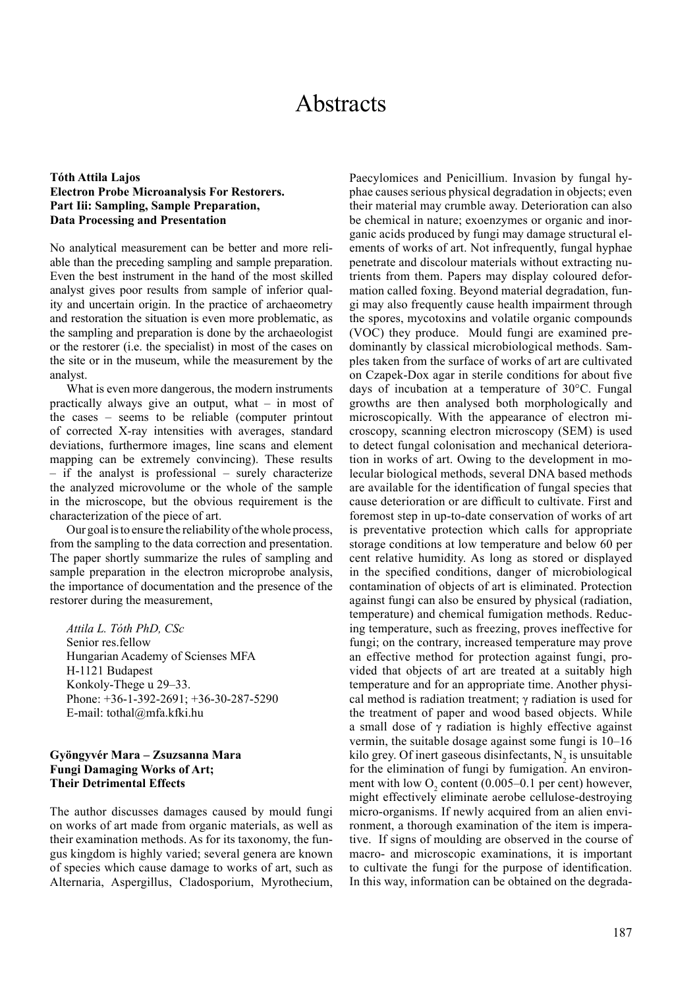# Abstracts

## **Tóth Attila Lajos Electron Probe Microanalysis For Restorers. Part Iii: Sampling, Sample Preparation, Data Processing and Presentation**

No analytical measurement can be better and more reliable than the preceding sampling and sample preparation. Even the best instrument in the hand of the most skilled analyst gives poor results from sample of inferior quality and uncertain origin. In the practice of archaeometry and restoration the situation is even more problematic, as the sampling and preparation is done by the archaeologist or the restorer (i.e. the specialist) in most of the cases on the site or in the museum, while the measurement by the analyst.

What is even more dangerous, the modern instruments practically always give an output, what – in most of the cases – seems to be reliable (computer printout of corrected X-ray intensities with averages, standard deviations, furthermore images, line scans and element mapping can be extremely convincing). These results – if the analyst is professional – surely characterize the analyzed microvolume or the whole of the sample in the microscope, but the obvious requirement is the characterization of the piece of art.

Our goal is to ensure the reliability of the whole process, from the sampling to the data correction and presentation. The paper shortly summarize the rules of sampling and sample preparation in the electron microprobe analysis, the importance of documentation and the presence of the restorer during the measurement,

*Attila L. Tóth PhD, CSc* Senior res.fellow Hungarian Academy of Scienses MFA H-1121 Budapest Konkoly-Thege u 29–33. Phone: +36-1-392-2691; +36-30-287-5290 E-mail: tothal@mfa.kfki.hu

## **Gyöngyvér Mara – Zsuzsanna Mara Fungi Damaging Works of Art; Their Detrimental Effects**

The author discusses damages caused by mould fungi on works of art made from organic materials, as well as their examination methods. As for its taxonomy, the fungus kingdom is highly varied; several genera are known of species which cause damage to works of art, such as Alternaria, Aspergillus, Cladosporium, Myrothecium,

Paecylomices and Penicillium. Invasion by fungal hyphae causes serious physical degradation in objects; even their material may crumble away. Deterioration can also be chemical in nature; exoenzymes or organic and inorganic acids produced by fungi may damage structural elements of works of art. Not infrequently, fungal hyphae penetrate and discolour materials without extracting nutrients from them. Papers may display coloured deformation called foxing. Beyond material degradation, fungi may also frequently cause health impairment through the spores, mycotoxins and volatile organic compounds (VOC) they produce. Mould fungi are examined predominantly by classical microbiological methods. Samples taken from the surface of works of art are cultivated on Czapek-Dox agar in sterile conditions for about five days of incubation at a temperature of 30°C. Fungal growths are then analysed both morphologically and microscopically. With the appearance of electron microscopy, scanning electron microscopy (SEM) is used to detect fungal colonisation and mechanical deterioration in works of art. Owing to the development in molecular biological methods, several DNA based methods are available for the identification of fungal species that cause deterioration or are difficult to cultivate. First and foremost step in up-to-date conservation of works of art is preventative protection which calls for appropriate storage conditions at low temperature and below 60 per cent relative humidity. As long as stored or displayed in the specified conditions, danger of microbiological contamination of objects of art is eliminated. Protection against fungi can also be ensured by physical (radiation, temperature) and chemical fumigation methods. Reducing temperature, such as freezing, proves ineffective for fungi; on the contrary, increased temperature may prove an effective method for protection against fungi, provided that objects of art are treated at a suitably high temperature and for an appropriate time. Another physical method is radiation treatment; γ radiation is used for the treatment of paper and wood based objects. While a small dose of γ radiation is highly effective against vermin, the suitable dosage against some fungi is 10–16 kilo grey. Of inert gaseous disinfectants,  $N<sub>2</sub>$  is unsuitable for the elimination of fungi by fumigation. An environment with low  $O_2$  content (0.005–0.1 per cent) however, might effectively eliminate aerobe cellulose-destroying micro-organisms. If newly acquired from an alien environment, a thorough examination of the item is imperative. If signs of moulding are observed in the course of macro- and microscopic examinations, it is important to cultivate the fungi for the purpose of identification. In this way, information can be obtained on the degrada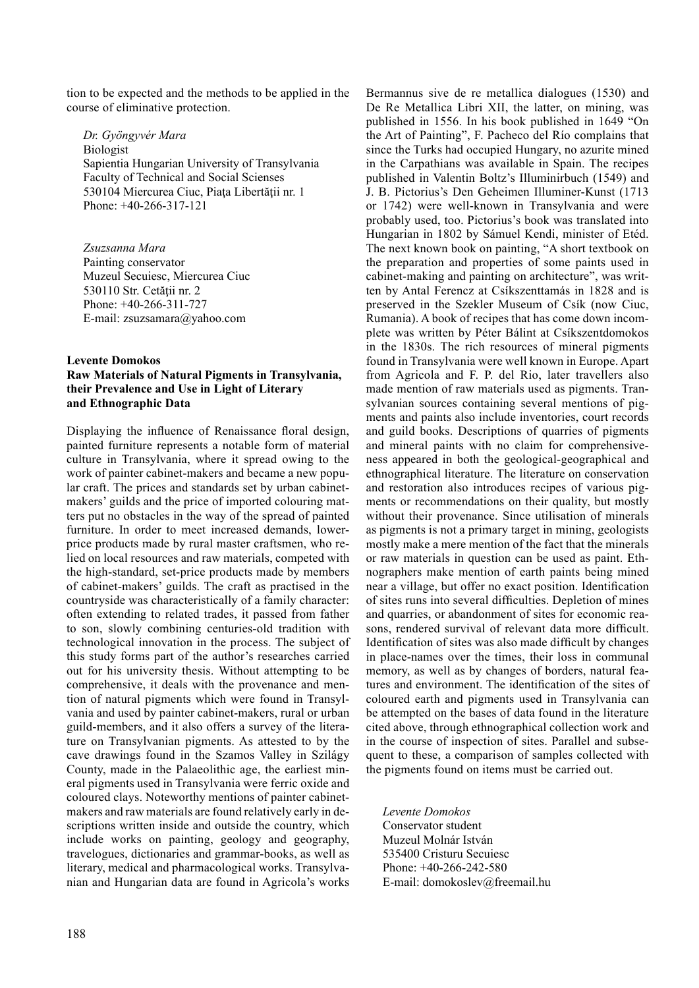tion to be expected and the methods to be applied in the course of eliminative protection.

*Dr. Gyöngyvér Mara* Biologist Sapientia Hungarian University of Transylvania Faculty of Technical and Social Scienses 530104 Miercurea Ciuc, Piaţa Libertăţii nr. 1 Phone: +40-266-317-121

*Zsuzsanna Mara* Painting conservator Muzeul Secuiesc, Miercurea Ciuc 530110 Str. Cetăţii nr. 2 Phone: +40-266-311-727 E-mail: zsuzsamara@yahoo.com

# **Levente Domokos Raw Materials of Natural Pigments in Transylvania, their Prevalence and Use in Light of Literary and Ethnographic Data**

Displaying the influence of Renaissance floral design, painted furniture represents a notable form of material culture in Transylvania, where it spread owing to the work of painter cabinet-makers and became a new popular craft. The prices and standards set by urban cabinetmakers' guilds and the price of imported colouring matters put no obstacles in the way of the spread of painted furniture. In order to meet increased demands, lowerprice products made by rural master craftsmen, who relied on local resources and raw materials, competed with the high-standard, set-price products made by members of cabinet-makers' guilds. The craft as practised in the countryside was characteristically of a family character: often extending to related trades, it passed from father to son, slowly combining centuries-old tradition with technological innovation in the process. The subject of this study forms part of the author's researches carried out for his university thesis. Without attempting to be comprehensive, it deals with the provenance and mention of natural pigments which were found in Transylvania and used by painter cabinet-makers, rural or urban guild-members, and it also offers a survey of the literature on Transylvanian pigments. As attested to by the cave drawings found in the Szamos Valley in Szilágy County, made in the Palaeolithic age, the earliest mineral pigments used in Transylvania were ferric oxide and coloured clays. Noteworthy mentions of painter cabinetmakers and raw materials are found relatively early in descriptions written inside and outside the country, which include works on painting, geology and geography, travelogues, dictionaries and grammar-books, as well as literary, medical and pharmacological works. Transylvanian and Hungarian data are found in Agricola's works

De Re Metallica Libri XII, the latter, on mining, was published in 1556. In his book published in 1649 "On the Art of Painting", F. Pacheco del Río complains that since the Turks had occupied Hungary, no azurite mined in the Carpathians was available in Spain. The recipes published in Valentin Boltz's Illuminirbuch (1549) and J. B. Pictorius's Den Geheimen Illuminer-Kunst (1713 or 1742) were well-known in Transylvania and were probably used, too. Pictorius's book was translated into Hungarian in 1802 by Sámuel Kendi, minister of Etéd. The next known book on painting, "A short textbook on the preparation and properties of some paints used in cabinet-making and painting on architecture", was written by Antal Ferencz at Csíkszenttamás in 1828 and is preserved in the Szekler Museum of Csík (now Ciuc, Rumania). A book of recipes that has come down incomplete was written by Péter Bálint at Csíkszentdomokos in the 1830s. The rich resources of mineral pigments found in Transylvania were well known in Europe. Apart from Agricola and F. P. del Rio, later travellers also made mention of raw materials used as pigments. Transylvanian sources containing several mentions of pigments and paints also include inventories, court records and guild books. Descriptions of quarries of pigments and mineral paints with no claim for comprehensiveness appeared in both the geological-geographical and ethnographical literature. The literature on conservation and restoration also introduces recipes of various pigments or recommendations on their quality, but mostly without their provenance. Since utilisation of minerals as pigments is not a primary target in mining, geologists mostly make a mere mention of the fact that the minerals or raw materials in question can be used as paint. Ethnographers make mention of earth paints being mined near a village, but offer no exact position. Identification of sites runs into several difficulties. Depletion of mines and quarries, or abandonment of sites for economic reasons, rendered survival of relevant data more difficult. Identification of sites was also made difficult by changes in place-names over the times, their loss in communal memory, as well as by changes of borders, natural features and environment. The identification of the sites of coloured earth and pigments used in Transylvania can be attempted on the bases of data found in the literature cited above, through ethnographical collection work and in the course of inspection of sites. Parallel and subsequent to these, a comparison of samples collected with the pigments found on items must be carried out.

Bermannus sive de re metallica dialogues (1530) and

*Levente Domokos* Conservator student Muzeul Molnár István 535400 Cristuru Secuiesc Phone: +40-266-242-580 E-mail: domokoslev@freemail.hu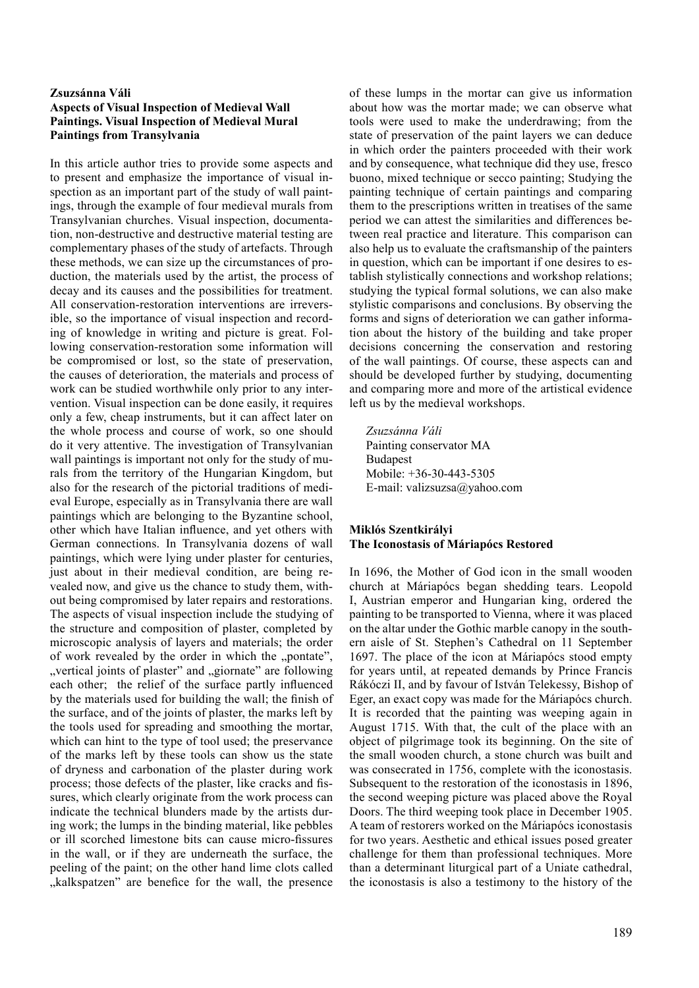# **Zsuzsánna Váli Aspects of Visual Inspection of Medieval Wall Paintings. Visual Inspection of Medieval Mural Paintings from Transylvania**

In this article author tries to provide some aspects and to present and emphasize the importance of visual inspection as an important part of the study of wall paintings, through the example of four medieval murals from Transylvanian churches. Visual inspection, documentation, non-destructive and destructive material testing are complementary phases of the study of artefacts. Through these methods, we can size up the circumstances of production, the materials used by the artist, the process of decay and its causes and the possibilities for treatment. All conservation-restoration interventions are irreversible, so the importance of visual inspection and recording of knowledge in writing and picture is great. Following conservation-restoration some information will be compromised or lost, so the state of preservation, the causes of deterioration, the materials and process of work can be studied worthwhile only prior to any intervention. Visual inspection can be done easily, it requires only a few, cheap instruments, but it can affect later on the whole process and course of work, so one should do it very attentive. The investigation of Transylvanian wall paintings is important not only for the study of murals from the territory of the Hungarian Kingdom, but also for the research of the pictorial traditions of medieval Europe, especially as in Transylvania there are wall paintings which are belonging to the Byzantine school, other which have Italian influence, and yet others with German connections. In Transylvania dozens of wall paintings, which were lying under plaster for centuries, just about in their medieval condition, are being revealed now, and give us the chance to study them, without being compromised by later repairs and restorations. The aspects of visual inspection include the studying of the structure and composition of plaster, completed by microscopic analysis of layers and materials; the order of work revealed by the order in which the "pontate", "vertical joints of plaster" and "giornate" are following each other; the relief of the surface partly influenced by the materials used for building the wall; the finish of the surface, and of the joints of plaster, the marks left by the tools used for spreading and smoothing the mortar, which can hint to the type of tool used; the preservance of the marks left by these tools can show us the state of dryness and carbonation of the plaster during work process; those defects of the plaster, like cracks and fissures, which clearly originate from the work process can indicate the technical blunders made by the artists during work; the lumps in the binding material, like pebbles or ill scorched limestone bits can cause micro-fissures in the wall, or if they are underneath the surface, the peeling of the paint; on the other hand lime clots called ", kalkspatzen" are benefice for the wall, the presence

of these lumps in the mortar can give us information about how was the mortar made; we can observe what tools were used to make the underdrawing; from the state of preservation of the paint layers we can deduce in which order the painters proceeded with their work and by consequence, what technique did they use, fresco buono, mixed technique or secco painting; Studying the painting technique of certain paintings and comparing them to the prescriptions written in treatises of the same period we can attest the similarities and differences between real practice and literature. This comparison can also help us to evaluate the craftsmanship of the painters in question, which can be important if one desires to establish stylistically connections and workshop relations; studying the typical formal solutions, we can also make stylistic comparisons and conclusions. By observing the forms and signs of deterioration we can gather information about the history of the building and take proper decisions concerning the conservation and restoring of the wall paintings. Of course, these aspects can and should be developed further by studying, documenting and comparing more and more of the artistical evidence left us by the medieval workshops.

*Zsuzsánna Váli* Painting conservator MA Budapest Mobile: +36-30-443-5305 E-mail: valizsuzsa@yahoo.com

#### **Miklós Szentkirályi The Iconostasis of Máriapócs Restored**

In 1696, the Mother of God icon in the small wooden church at Máriapócs began shedding tears. Leopold I, Austrian emperor and Hungarian king, ordered the painting to be transported to Vienna, where it was placed on the altar under the Gothic marble canopy in the southern aisle of St. Stephen's Cathedral on 11 September 1697. The place of the icon at Máriapócs stood empty for years until, at repeated demands by Prince Francis Rákóczi II, and by favour of István Telekessy, Bishop of Eger, an exact copy was made for the Máriapócs church. It is recorded that the painting was weeping again in August 1715. With that, the cult of the place with an object of pilgrimage took its beginning. On the site of the small wooden church, a stone church was built and was consecrated in 1756, complete with the iconostasis. Subsequent to the restoration of the iconostasis in 1896, the second weeping picture was placed above the Royal Doors. The third weeping took place in December 1905. A team of restorers worked on the Máriapócs iconostasis for two years. Aesthetic and ethical issues posed greater challenge for them than professional techniques. More than a determinant liturgical part of a Uniate cathedral, the iconostasis is also a testimony to the history of the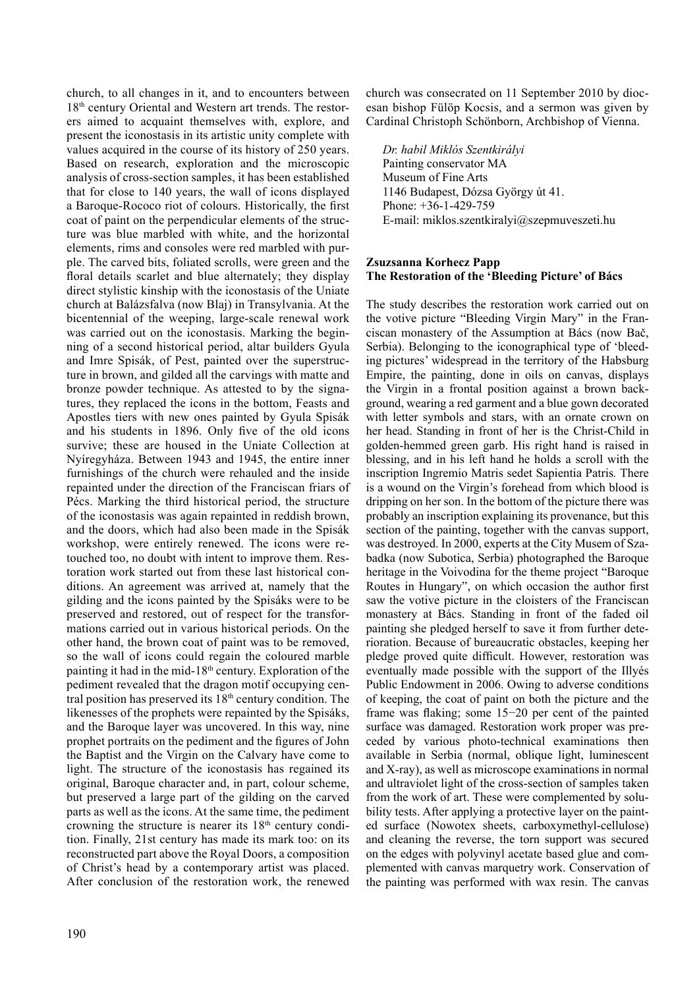church, to all changes in it, and to encounters between 18<sup>th</sup> century Oriental and Western art trends. The restorers aimed to acquaint themselves with, explore, and present the iconostasis in its artistic unity complete with values acquired in the course of its history of 250 years. Based on research, exploration and the microscopic analysis of cross-section samples, it has been established that for close to 140 years, the wall of icons displayed a Baroque-Rococo riot of colours. Historically, the first coat of paint on the perpendicular elements of the structure was blue marbled with white, and the horizontal elements, rims and consoles were red marbled with purple. The carved bits, foliated scrolls, were green and the floral details scarlet and blue alternately; they display direct stylistic kinship with the iconostasis of the Uniate church at Balázsfalva (now Blaj) in Transylvania. At the bicentennial of the weeping, large-scale renewal work was carried out on the iconostasis. Marking the beginning of a second historical period, altar builders Gyula and Imre Spisák, of Pest, painted over the superstructure in brown, and gilded all the carvings with matte and bronze powder technique. As attested to by the signatures, they replaced the icons in the bottom, Feasts and Apostles tiers with new ones painted by Gyula Spisák and his students in 1896. Only five of the old icons survive; these are housed in the Uniate Collection at Nyíregyháza. Between 1943 and 1945, the entire inner furnishings of the church were rehauled and the inside repainted under the direction of the Franciscan friars of Pécs. Marking the third historical period, the structure of the iconostasis was again repainted in reddish brown, and the doors, which had also been made in the Spisák workshop, were entirely renewed. The icons were retouched too, no doubt with intent to improve them. Restoration work started out from these last historical conditions. An agreement was arrived at, namely that the gilding and the icons painted by the Spisáks were to be preserved and restored, out of respect for the transformations carried out in various historical periods. On the other hand, the brown coat of paint was to be removed, so the wall of icons could regain the coloured marble painting it had in the mid-18th century. Exploration of the pediment revealed that the dragon motif occupying central position has preserved its 18th century condition. The likenesses of the prophets were repainted by the Spisáks, and the Baroque layer was uncovered. In this way, nine prophet portraits on the pediment and the figures of John the Baptist and the Virgin on the Calvary have come to light. The structure of the iconostasis has regained its original, Baroque character and, in part, colour scheme, but preserved a large part of the gilding on the carved parts as well as the icons. At the same time, the pediment crowning the structure is nearer its  $18<sup>th</sup>$  century condition. Finally, 21st century has made its mark too: on its reconstructed part above the Royal Doors, a composition of Christ's head by a contemporary artist was placed. After conclusion of the restoration work, the renewed

church was consecrated on 11 September 2010 by diocesan bishop Fülöp Kocsis, and a sermon was given by Cardinal Christoph Schönborn, Archbishop of Vienna.

*Dr. habil Miklós Szentkirályi* Painting conservator MA Museum of Fine Arts 1146 Budapest, Dózsa György út 41. Phone: +36-1-429-759 E-mail: miklos.szentkiralyi@szepmuveszeti.hu

#### **Zsuzsanna Korhecz Papp The Restoration of the 'Bleeding Picture' of Bács**

The study describes the restoration work carried out on the votive picture "Bleeding Virgin Mary" in the Franciscan monastery of the Assumption at Bács (now Bač, Serbia). Belonging to the iconographical type of 'bleeding pictures' widespread in the territory of the Habsburg Empire, the painting, done in oils on canvas, displays the Virgin in a frontal position against a brown background, wearing a red garment and a blue gown decorated with letter symbols and stars, with an ornate crown on her head. Standing in front of her is the Christ-Child in golden-hemmed green garb. His right hand is raised in blessing, and in his left hand he holds a scroll with the inscription Ingremio Matris sedet Sapientia Patris*.* There is a wound on the Virgin's forehead from which blood is dripping on her son. In the bottom of the picture there was probably an inscription explaining its provenance, but this section of the painting, together with the canvas support, was destroyed. In 2000, experts at the City Musem of Szabadka (now Subotica, Serbia) photographed the Baroque heritage in the Voivodina for the theme project "Baroque Routes in Hungary", on which occasion the author first saw the votive picture in the cloisters of the Franciscan monastery at Bács. Standing in front of the faded oil painting she pledged herself to save it from further deterioration. Because of bureaucratic obstacles, keeping her pledge proved quite difficult. However, restoration was eventually made possible with the support of the Illyés Public Endowment in 2006. Owing to adverse conditions of keeping, the coat of paint on both the picture and the frame was flaking; some 15−20 per cent of the painted surface was damaged. Restoration work proper was preceded by various photo-technical examinations then available in Serbia (normal, oblique light, luminescent and X-ray), as well as microscope examinations in normal and ultraviolet light of the cross-section of samples taken from the work of art. These were complemented by solubility tests. After applying a protective layer on the painted surface (Nowotex sheets, carboxymethyl-cellulose) and cleaning the reverse, the torn support was secured on the edges with polyvinyl acetate based glue and complemented with canvas marquetry work. Conservation of the painting was performed with wax resin. The canvas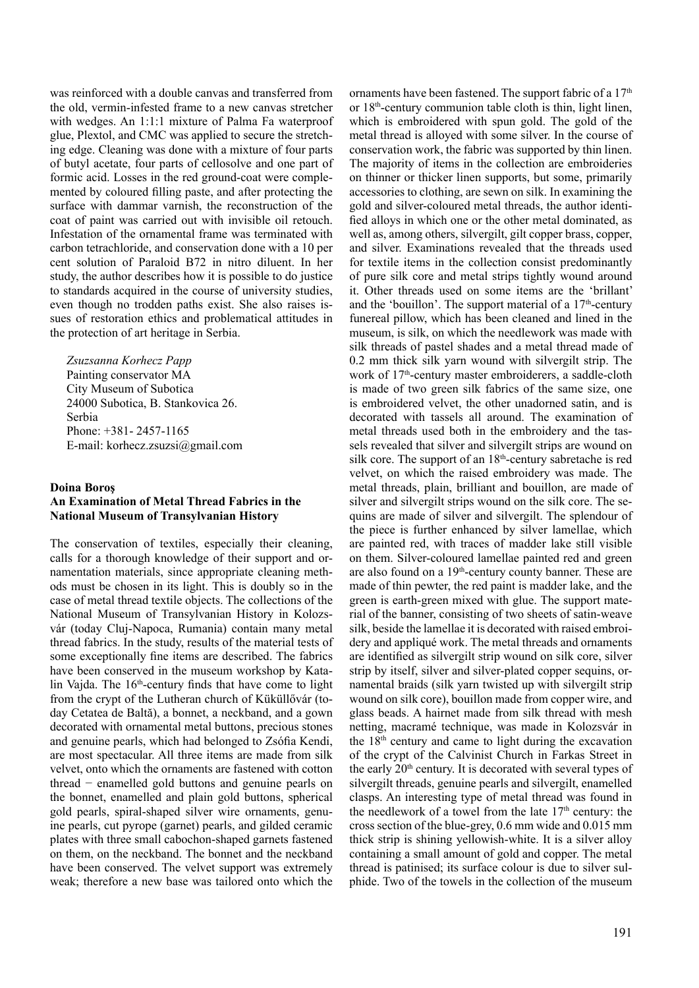was reinforced with a double canvas and transferred from the old, vermin-infested frame to a new canvas stretcher with wedges. An 1:1:1 mixture of Palma Fa waterproof glue, Plextol, and CMC was applied to secure the stretching edge. Cleaning was done with a mixture of four parts of butyl acetate, four parts of cellosolve and one part of formic acid. Losses in the red ground-coat were complemented by coloured filling paste, and after protecting the surface with dammar varnish, the reconstruction of the coat of paint was carried out with invisible oil retouch. Infestation of the ornamental frame was terminated with carbon tetrachloride, and conservation done with a 10 per cent solution of Paraloid B72 in nitro diluent. In her study, the author describes how it is possible to do justice to standards acquired in the course of university studies, even though no trodden paths exist. She also raises issues of restoration ethics and problematical attitudes in the protection of art heritage in Serbia.

*Zsuzsanna Korhecz Papp* Painting conservator MA City Museum of Subotica 24000 Subotica, B. Stankovica 26. Serbia Phone: +381- 2457-1165 E-mail: korhecz.zsuzsi@gmail.com

#### **Doina Boroş**

# **An Examination of Metal Thread Fabrics in the National Museum of Transylvanian History**

The conservation of textiles, especially their cleaning, calls for a thorough knowledge of their support and ornamentation materials, since appropriate cleaning methods must be chosen in its light. This is doubly so in the case of metal thread textile objects. The collections of the National Museum of Transylvanian History in Kolozsvár (today Cluj-Napoca, Rumania) contain many metal thread fabrics. In the study, results of the material tests of some exceptionally fine items are described. The fabrics have been conserved in the museum workshop by Katalin Vajda. The  $16<sup>th</sup>$ -century finds that have come to light from the crypt of the Lutheran church of Küküllővár (today Cetatea de Baltă), a bonnet, a neckband, and a gown decorated with ornamental metal buttons, precious stones and genuine pearls, which had belonged to Zsófia Kendi, are most spectacular. All three items are made from silk velvet, onto which the ornaments are fastened with cotton thread − enamelled gold buttons and genuine pearls on the bonnet, enamelled and plain gold buttons, spherical gold pearls, spiral-shaped silver wire ornaments, genuine pearls, cut pyrope (garnet) pearls, and gilded ceramic plates with three small cabochon-shaped garnets fastened on them, on the neckband. The bonnet and the neckband have been conserved. The velvet support was extremely weak; therefore a new base was tailored onto which the

ornaments have been fastened. The support fabric of a  $17<sup>th</sup>$ or 18<sup>th</sup>-century communion table cloth is thin, light linen, which is embroidered with spun gold. The gold of the metal thread is alloyed with some silver. In the course of conservation work, the fabric was supported by thin linen. The majority of items in the collection are embroideries on thinner or thicker linen supports, but some, primarily accessories to clothing, are sewn on silk. In examining the gold and silver-coloured metal threads, the author identified alloys in which one or the other metal dominated, as well as, among others, silvergilt, gilt copper brass, copper, and silver. Examinations revealed that the threads used for textile items in the collection consist predominantly of pure silk core and metal strips tightly wound around it. Other threads used on some items are the 'brillant' and the 'bouillon'. The support material of a  $17<sup>th</sup>$ -century funereal pillow, which has been cleaned and lined in the museum, is silk, on which the needlework was made with silk threads of pastel shades and a metal thread made of 0.2 mm thick silk yarn wound with silvergilt strip. The work of 17<sup>th</sup>-century master embroiderers, a saddle-cloth is made of two green silk fabrics of the same size, one is embroidered velvet, the other unadorned satin, and is decorated with tassels all around. The examination of metal threads used both in the embroidery and the tassels revealed that silver and silvergilt strips are wound on silk core. The support of an 18<sup>th</sup>-century sabretache is red velvet, on which the raised embroidery was made. The metal threads, plain, brilliant and bouillon, are made of silver and silvergilt strips wound on the silk core. The sequins are made of silver and silvergilt. The splendour of the piece is further enhanced by silver lamellae, which are painted red, with traces of madder lake still visible on them. Silver-coloured lamellae painted red and green are also found on a 19th-century county banner. These are made of thin pewter, the red paint is madder lake, and the green is earth-green mixed with glue. The support material of the banner, consisting of two sheets of satin-weave silk, beside the lamellae it is decorated with raised embroidery and appliqué work. The metal threads and ornaments are identified as silvergilt strip wound on silk core, silver strip by itself, silver and silver-plated copper sequins, ornamental braids (silk yarn twisted up with silvergilt strip wound on silk core), bouillon made from copper wire, and glass beads. A hairnet made from silk thread with mesh netting, macramé technique, was made in Kolozsvár in the  $18<sup>th</sup>$  century and came to light during the excavation of the crypt of the Calvinist Church in Farkas Street in the early 20<sup>th</sup> century. It is decorated with several types of silvergilt threads, genuine pearls and silvergilt, enamelled clasps. An interesting type of metal thread was found in the needlework of a towel from the late  $17<sup>th</sup>$  century: the cross section of the blue-grey, 0.6 mm wide and 0.015 mm thick strip is shining yellowish-white. It is a silver alloy containing a small amount of gold and copper. The metal thread is patinised; its surface colour is due to silver sulphide. Two of the towels in the collection of the museum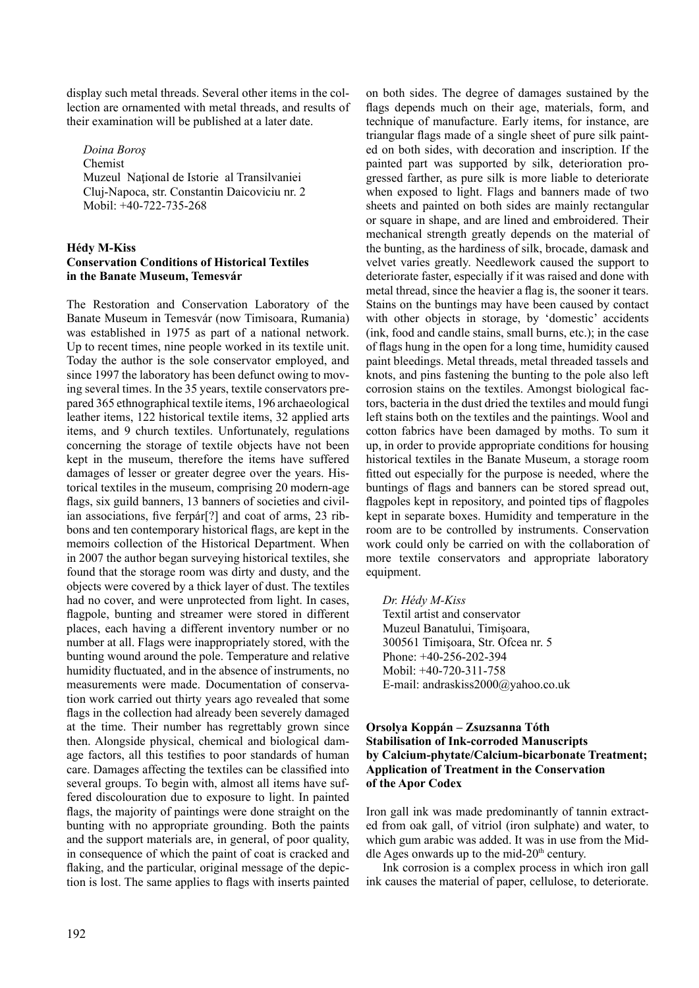display such metal threads. Several other items in the collection are ornamented with metal threads, and results of their examination will be published at a later date.

*Doina Boroş* Chemist Muzeul Național de Istorie al Transilvaniei Cluj-Napoca, str. Constantin Daicoviciu nr. 2 Mobil: +40-722-735-268

## **Hédy M-Kiss Conservation Conditions of Historical Textiles in the Banate Museum, Temesvár**

The Restoration and Conservation Laboratory of the Banate Museum in Temesvár (now Timisoara, Rumania) was established in 1975 as part of a national network. Up to recent times, nine people worked in its textile unit. Today the author is the sole conservator employed, and since 1997 the laboratory has been defunct owing to moving several times. In the 35 years, textile conservators prepared 365 ethnographical textile items, 196 archaeological leather items, 122 historical textile items, 32 applied arts items, and 9 church textiles. Unfortunately, regulations concerning the storage of textile objects have not been kept in the museum, therefore the items have suffered damages of lesser or greater degree over the years. Historical textiles in the museum, comprising 20 modern-age flags, six guild banners, 13 banners of societies and civilian associations, five ferpár[?] and coat of arms, 23 ribbons and ten contemporary historical flags, are kept in the memoirs collection of the Historical Department. When in 2007 the author began surveying historical textiles, she found that the storage room was dirty and dusty, and the objects were covered by a thick layer of dust. The textiles had no cover, and were unprotected from light. In cases, flagpole, bunting and streamer were stored in different places, each having a different inventory number or no number at all. Flags were inappropriately stored, with the bunting wound around the pole. Temperature and relative humidity fluctuated, and in the absence of instruments, no measurements were made. Documentation of conservation work carried out thirty years ago revealed that some flags in the collection had already been severely damaged at the time. Their number has regrettably grown since then. Alongside physical, chemical and biological damage factors, all this testifies to poor standards of human care. Damages affecting the textiles can be classified into several groups. To begin with, almost all items have suffered discolouration due to exposure to light. In painted flags, the majority of paintings were done straight on the bunting with no appropriate grounding. Both the paints and the support materials are, in general, of poor quality, in consequence of which the paint of coat is cracked and flaking, and the particular, original message of the depiction is lost. The same applies to flags with inserts painted

on both sides. The degree of damages sustained by the flags depends much on their age, materials, form, and technique of manufacture. Early items, for instance, are triangular flags made of a single sheet of pure silk painted on both sides, with decoration and inscription. If the painted part was supported by silk, deterioration progressed farther, as pure silk is more liable to deteriorate when exposed to light. Flags and banners made of two sheets and painted on both sides are mainly rectangular or square in shape, and are lined and embroidered. Their mechanical strength greatly depends on the material of the bunting, as the hardiness of silk, brocade, damask and velvet varies greatly. Needlework caused the support to deteriorate faster, especially if it was raised and done with metal thread, since the heavier a flag is, the sooner it tears. Stains on the buntings may have been caused by contact with other objects in storage, by 'domestic' accidents (ink, food and candle stains, small burns, etc.); in the case of flags hung in the open for a long time, humidity caused paint bleedings. Metal threads, metal threaded tassels and knots, and pins fastening the bunting to the pole also left corrosion stains on the textiles. Amongst biological factors, bacteria in the dust dried the textiles and mould fungi left stains both on the textiles and the paintings. Wool and cotton fabrics have been damaged by moths. To sum it up, in order to provide appropriate conditions for housing historical textiles in the Banate Museum, a storage room fitted out especially for the purpose is needed, where the buntings of flags and banners can be stored spread out, flagpoles kept in repository, and pointed tips of flagpoles kept in separate boxes. Humidity and temperature in the room are to be controlled by instruments. Conservation work could only be carried on with the collaboration of more textile conservators and appropriate laboratory equipment.

*Dr. Hédy M-Kiss*

Textil artist and conservator Muzeul Banatului, Timişoara, 300561 Timişoara, Str. Ofcea nr. 5 Phone: +40-256-202-394 Mobil: +40-720-311-758 E-mail: andraskiss2000@yahoo.co.uk

# **Orsolya Koppán – Zsuzsanna Tóth Stabilisation of Ink-corroded Manuscripts by Calcium-phytate/Calcium-bicarbonate Treatment; Application of Treatment in the Conservation of the Apor Codex**

Iron gall ink was made predominantly of tannin extracted from oak gall, of vitriol (iron sulphate) and water, to which gum arabic was added. It was in use from the Middle Ages onwards up to the mid- $20<sup>th</sup>$  century.

Ink corrosion is a complex process in which iron gall ink causes the material of paper, cellulose, to deteriorate.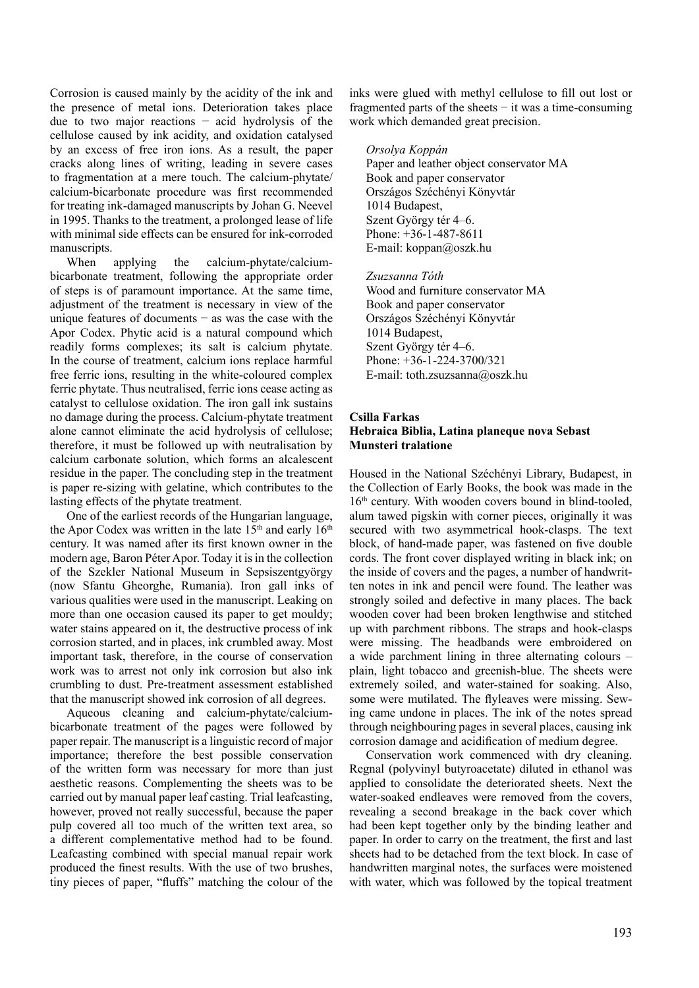Corrosion is caused mainly by the acidity of the ink and the presence of metal ions. Deterioration takes place due to two major reactions − acid hydrolysis of the cellulose caused by ink acidity, and oxidation catalysed by an excess of free iron ions. As a result, the paper cracks along lines of writing, leading in severe cases to fragmentation at a mere touch. The calcium-phytate/ calcium-bicarbonate procedure was first recommended for treating ink-damaged manuscripts by Johan G. Neevel in 1995. Thanks to the treatment, a prolonged lease of life with minimal side effects can be ensured for ink-corroded manuscripts.

When applying the calcium-phytate/calciumbicarbonate treatment, following the appropriate order of steps is of paramount importance. At the same time, adjustment of the treatment is necessary in view of the unique features of documents − as was the case with the Apor Codex. Phytic acid is a natural compound which readily forms complexes; its salt is calcium phytate. In the course of treatment, calcium ions replace harmful free ferric ions, resulting in the white-coloured complex ferric phytate. Thus neutralised, ferric ions cease acting as catalyst to cellulose oxidation. The iron gall ink sustains no damage during the process. Calcium-phytate treatment alone cannot eliminate the acid hydrolysis of cellulose; therefore, it must be followed up with neutralisation by calcium carbonate solution, which forms an alcalescent residue in the paper. The concluding step in the treatment is paper re-sizing with gelatine, which contributes to the lasting effects of the phytate treatment.

One of the earliest records of the Hungarian language, the Apor Codex was written in the late  $15<sup>th</sup>$  and early  $16<sup>th</sup>$ century. It was named after its first known owner in the modern age, Baron Péter Apor. Today it is in the collection of the Szekler National Museum in Sepsiszentgyörgy (now Sfantu Gheorghe, Rumania). Iron gall inks of various qualities were used in the manuscript. Leaking on more than one occasion caused its paper to get mouldy; water stains appeared on it, the destructive process of ink corrosion started, and in places, ink crumbled away. Most important task, therefore, in the course of conservation work was to arrest not only ink corrosion but also ink crumbling to dust. Pre-treatment assessment established that the manuscript showed ink corrosion of all degrees.

Aqueous cleaning and calcium-phytate/calciumbicarbonate treatment of the pages were followed by paper repair. The manuscript is a linguistic record of major importance; therefore the best possible conservation of the written form was necessary for more than just aesthetic reasons. Complementing the sheets was to be carried out by manual paper leaf casting. Trial leafcasting, however, proved not really successful, because the paper pulp covered all too much of the written text area, so a different complementative method had to be found. Leafcasting combined with special manual repair work produced the finest results. With the use of two brushes, tiny pieces of paper, "fluffs" matching the colour of the inks were glued with methyl cellulose to fill out lost or fragmented parts of the sheets − it was a time-consuming work which demanded great precision.

*Orsolya Koppán* Paper and leather object conservator MA Book and paper conservator Országos Széchényi Könyvtár 1014 Budapest, Szent György tér 4–6. Phone: +36-1-487-8611 E-mail: koppan@oszk.hu

*Zsuzsanna Tóth* Wood and furniture conservator MA Book and paper conservator Országos Széchényi Könyvtár 1014 Budapest, Szent György tér 4–6. Phone: +36-1-224-3700/321 E-mail: toth.zsuzsanna@oszk.hu

#### **Csilla Farkas Hebraica Biblia, Latina planeque nova Sebast Munsteri tralatione**

Housed in the National Széchényi Library, Budapest, in the Collection of Early Books, the book was made in the 16<sup>th</sup> century. With wooden covers bound in blind-tooled, alum tawed pigskin with corner pieces, originally it was secured with two asymmetrical hook-clasps. The text block, of hand-made paper, was fastened on five double cords. The front cover displayed writing in black ink; on the inside of covers and the pages, a number of handwritten notes in ink and pencil were found. The leather was strongly soiled and defective in many places. The back wooden cover had been broken lengthwise and stitched up with parchment ribbons. The straps and hook-clasps were missing. The headbands were embroidered on a wide parchment lining in three alternating colours – plain, light tobacco and greenish-blue. The sheets were extremely soiled, and water-stained for soaking. Also, some were mutilated. The flyleaves were missing. Sewing came undone in places. The ink of the notes spread through neighbouring pages in several places, causing ink corrosion damage and acidification of medium degree.

Conservation work commenced with dry cleaning. Regnal (polyvinyl butyroacetate) diluted in ethanol was applied to consolidate the deteriorated sheets. Next the water-soaked endleaves were removed from the covers, revealing a second breakage in the back cover which had been kept together only by the binding leather and paper. In order to carry on the treatment, the first and last sheets had to be detached from the text block. In case of handwritten marginal notes, the surfaces were moistened with water, which was followed by the topical treatment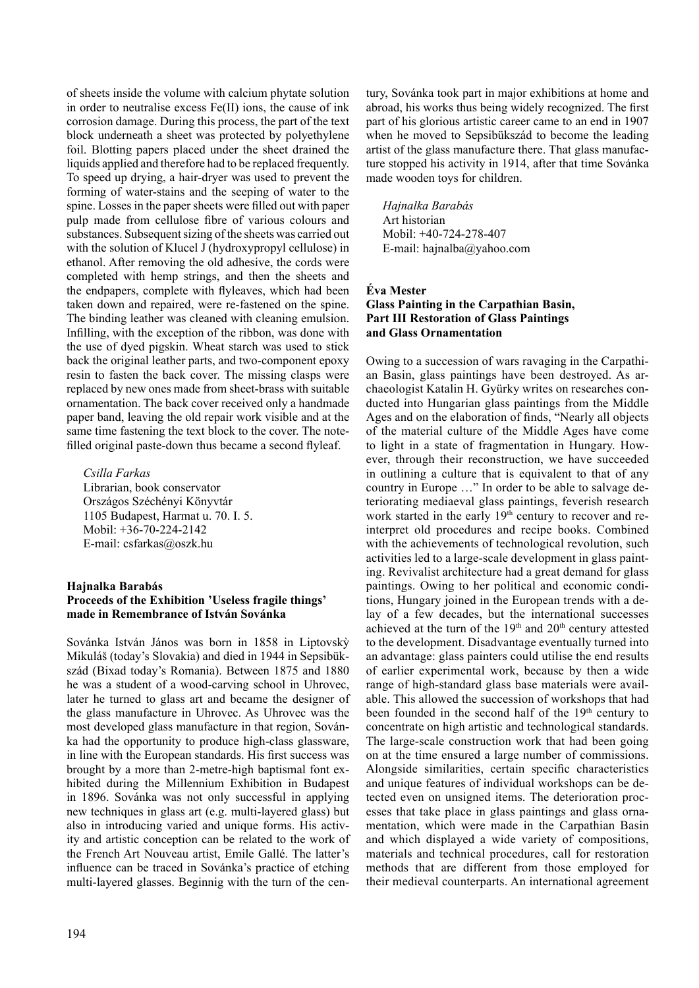of sheets inside the volume with calcium phytate solution in order to neutralise excess Fe(II) ions, the cause of ink corrosion damage. During this process, the part of the text block underneath a sheet was protected by polyethylene foil. Blotting papers placed under the sheet drained the liquids applied and therefore had to be replaced frequently. To speed up drying, a hair-dryer was used to prevent the forming of water-stains and the seeping of water to the spine. Losses in the paper sheets were filled out with paper pulp made from cellulose fibre of various colours and substances. Subsequent sizing of the sheets was carried out with the solution of Klucel J (hydroxypropyl cellulose) in ethanol. After removing the old adhesive, the cords were completed with hemp strings, and then the sheets and the endpapers, complete with flyleaves, which had been taken down and repaired, were re-fastened on the spine. The binding leather was cleaned with cleaning emulsion. Infilling, with the exception of the ribbon, was done with the use of dyed pigskin. Wheat starch was used to stick back the original leather parts, and two-component epoxy resin to fasten the back cover. The missing clasps were replaced by new ones made from sheet-brass with suitable ornamentation. The back cover received only a handmade paper band, leaving the old repair work visible and at the same time fastening the text block to the cover. The notefilled original paste-down thus became a second flyleaf.

*Csilla Farkas* Librarian, book conservator Országos Széchényi Könyvtár 1105 Budapest, Harmat u. 70. I. 5. Mobil: +36-70-224-2142 E-mail: csfarkas@oszk.hu

#### **Hajnalka Barabás Proceeds of the Exhibition 'Useless fragile things' made in Remembrance of István Sovánka**

Sovánka István János was born in 1858 in Liptovskỳ Mikuláš (today's Slovakia) and died in 1944 in Sepsibükszád (Bixad today's Romania). Between 1875 and 1880 he was a student of a wood-carving school in Uhrovec, later he turned to glass art and became the designer of the glass manufacture in Uhrovec. As Uhrovec was the most developed glass manufacture in that region, Sovánka had the opportunity to produce high-class glassware, in line with the European standards. His first success was brought by a more than 2-metre-high baptismal font exhibited during the Millennium Exhibition in Budapest in 1896. Sovánka was not only successful in applying new techniques in glass art (e.g. multi-layered glass) but also in introducing varied and unique forms. His activity and artistic conception can be related to the work of the French Art Nouveau artist, Emile Gallé. The latter's influence can be traced in Sovánka's practice of etching multi-layered glasses. Beginnig with the turn of the century, Sovánka took part in major exhibitions at home and abroad, his works thus being widely recognized. The first part of his glorious artistic career came to an end in 1907 when he moved to Sepsibükszád to become the leading artist of the glass manufacture there. That glass manufacture stopped his activity in 1914, after that time Sovánka made wooden toys for children.

*Hajnalka Barabás* Art historian Mobil: +40-724-278-407 E-mail: hajnalba@yahoo.com

# **Éva Mester Glass Painting in the Carpathian Basin, Part III Restoration of Glass Paintings and Glass Ornamentation**

Owing to a succession of wars ravaging in the Carpathian Basin, glass paintings have been destroyed. As archaeologist Katalin H. Gyürky writes on researches conducted into Hungarian glass paintings from the Middle Ages and on the elaboration of finds, "Nearly all objects of the material culture of the Middle Ages have come to light in a state of fragmentation in Hungary. However, through their reconstruction, we have succeeded in outlining a culture that is equivalent to that of any country in Europe …" In order to be able to salvage deteriorating mediaeval glass paintings, feverish research work started in the early 19<sup>th</sup> century to recover and reinterpret old procedures and recipe books. Combined with the achievements of technological revolution, such activities led to a large-scale development in glass painting. Revivalist architecture had a great demand for glass paintings. Owing to her political and economic conditions, Hungary joined in the European trends with a delay of a few decades, but the international successes achieved at the turn of the  $19<sup>th</sup>$  and  $20<sup>th</sup>$  century attested to the development. Disadvantage eventually turned into an advantage: glass painters could utilise the end results of earlier experimental work, because by then a wide range of high-standard glass base materials were available. This allowed the succession of workshops that had been founded in the second half of the 19<sup>th</sup> century to concentrate on high artistic and technological standards. The large-scale construction work that had been going on at the time ensured a large number of commissions. Alongside similarities, certain specific characteristics and unique features of individual workshops can be detected even on unsigned items. The deterioration processes that take place in glass paintings and glass ornamentation, which were made in the Carpathian Basin and which displayed a wide variety of compositions, materials and technical procedures, call for restoration methods that are different from those employed for their medieval counterparts. An international agreement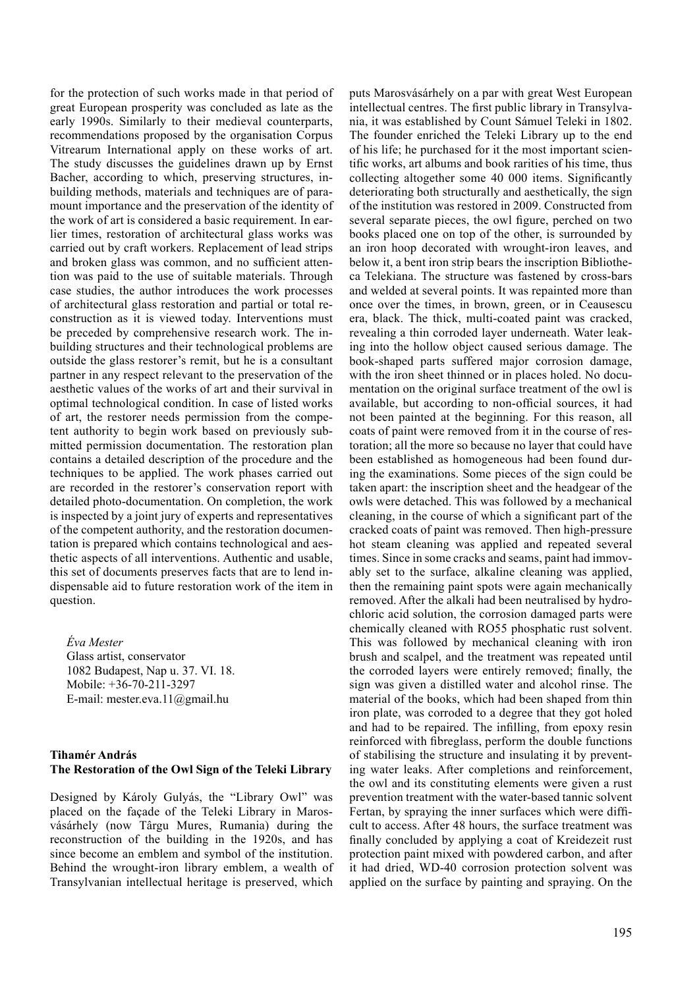for the protection of such works made in that period of great European prosperity was concluded as late as the early 1990s. Similarly to their medieval counterparts, recommendations proposed by the organisation Corpus Vitrearum International apply on these works of art. The study discusses the guidelines drawn up by Ernst Bacher, according to which, preserving structures, inbuilding methods, materials and techniques are of paramount importance and the preservation of the identity of the work of art is considered a basic requirement. In earlier times, restoration of architectural glass works was carried out by craft workers. Replacement of lead strips and broken glass was common, and no sufficient attention was paid to the use of suitable materials. Through case studies, the author introduces the work processes of architectural glass restoration and partial or total reconstruction as it is viewed today. Interventions must be preceded by comprehensive research work. The inbuilding structures and their technological problems are outside the glass restorer's remit, but he is a consultant partner in any respect relevant to the preservation of the aesthetic values of the works of art and their survival in optimal technological condition. In case of listed works of art, the restorer needs permission from the competent authority to begin work based on previously submitted permission documentation. The restoration plan contains a detailed description of the procedure and the techniques to be applied. The work phases carried out are recorded in the restorer's conservation report with detailed photo-documentation. On completion, the work is inspected by a joint jury of experts and representatives of the competent authority, and the restoration documentation is prepared which contains technological and aesthetic aspects of all interventions. Authentic and usable, this set of documents preserves facts that are to lend indispensable aid to future restoration work of the item in question.

*Éva Mester* Glass artist, conservator 1082 Budapest, Nap u. 37. VI. 18. Mobile: +36-70-211-3297 E-mail: mester.eva.11@gmail.hu

# **Tihamér András The Restoration of the Owl Sign of the Teleki Library**

Designed by Károly Gulyás, the "Library Owl" was placed on the façade of the Teleki Library in Marosvásárhely (now Târgu Mures, Rumania) during the reconstruction of the building in the 1920s, and has since become an emblem and symbol of the institution. Behind the wrought-iron library emblem, a wealth of Transylvanian intellectual heritage is preserved, which

puts Marosvásárhely on a par with great West European intellectual centres. The first public library in Transylvania, it was established by Count Sámuel Teleki in 1802. The founder enriched the Teleki Library up to the end of his life; he purchased for it the most important scientific works, art albums and book rarities of his time, thus collecting altogether some 40 000 items. Significantly deteriorating both structurally and aesthetically, the sign of the institution was restored in 2009. Constructed from several separate pieces, the owl figure, perched on two books placed one on top of the other, is surrounded by an iron hoop decorated with wrought-iron leaves, and below it, a bent iron strip bears the inscription Bibliotheca Telekiana. The structure was fastened by cross-bars and welded at several points. It was repainted more than once over the times, in brown, green, or in Ceausescu era, black. The thick, multi-coated paint was cracked, revealing a thin corroded layer underneath. Water leaking into the hollow object caused serious damage. The book-shaped parts suffered major corrosion damage, with the iron sheet thinned or in places holed. No documentation on the original surface treatment of the owl is available, but according to non-official sources, it had not been painted at the beginning. For this reason, all coats of paint were removed from it in the course of restoration; all the more so because no layer that could have been established as homogeneous had been found during the examinations. Some pieces of the sign could be taken apart: the inscription sheet and the headgear of the owls were detached. This was followed by a mechanical cleaning, in the course of which a significant part of the cracked coats of paint was removed. Then high-pressure hot steam cleaning was applied and repeated several times. Since in some cracks and seams, paint had immovably set to the surface, alkaline cleaning was applied, then the remaining paint spots were again mechanically removed. After the alkali had been neutralised by hydrochloric acid solution, the corrosion damaged parts were chemically cleaned with RO55 phosphatic rust solvent. This was followed by mechanical cleaning with iron brush and scalpel, and the treatment was repeated until the corroded layers were entirely removed; finally, the sign was given a distilled water and alcohol rinse. The material of the books, which had been shaped from thin iron plate, was corroded to a degree that they got holed and had to be repaired. The infilling, from epoxy resin reinforced with fibreglass, perform the double functions of stabilising the structure and insulating it by preventing water leaks. After completions and reinforcement, the owl and its constituting elements were given a rust prevention treatment with the water-based tannic solvent Fertan, by spraying the inner surfaces which were difficult to access. After 48 hours, the surface treatment was finally concluded by applying a coat of Kreidezeit rust protection paint mixed with powdered carbon, and after it had dried, WD-40 corrosion protection solvent was applied on the surface by painting and spraying. On the